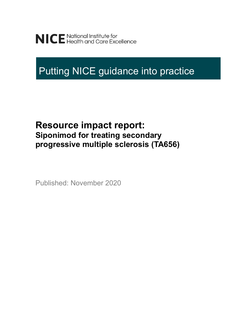NICE National Institute for<br>NICE Health and Care Excellence

# Putting NICE guidance into practice

## **Resource impact report: Siponimod for treating secondary progressive multiple sclerosis (TA656)**

Published: November 2020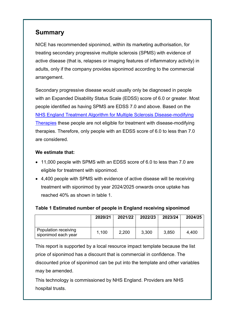## **Summary**

NICE has recommended siponimod, within its marketing authorisation, for treating secondary progressive multiple sclerosis (SPMS) with evidence of active disease (that is, relapses or imaging features of inflammatory activity) in adults, only if the company provides siponimod according to the commercial arrangement.

Secondary progressive disease would usually only be diagnosed in people with an Expanded Disability Status Scale (EDSS) score of 6.0 or greater. Most people identified as having SPMS are EDSS 7.0 and above. Based on the NHS England [Treatment Algorithm for Multiple Sclerosis Disease-modifying](https://www.england.nhs.uk/commissioning/wp-content/uploads/sites/12/2019/03/Treatment-Algorithm-for-Multiple-Sclerosis-Disease-Modifying-Therapies-08-03-2019-1.pdf) [Therapies](https://www.england.nhs.uk/commissioning/wp-content/uploads/sites/12/2019/03/Treatment-Algorithm-for-Multiple-Sclerosis-Disease-Modifying-Therapies-08-03-2019-1.pdf) these people are not eligible for treatment with disease-modifying therapies. Therefore, only people with an EDSS score of 6.0 to less than 7.0 are considered.

#### **We estimate that:**

- 11,000 people with SPMS with an EDSS score of 6.0 to less than 7.0 are eligible for treatment with siponimod.
- 4,400 people with SPMS with evidence of active disease will be receiving treatment with siponimod by year 2024/2025 onwards once uptake has reached 40% as shown in table 1.

#### **Table 1 Estimated number of people in England receiving siponimod**

|                                             | 2020/21 | 2021/22 | 2022/23 | 2023/24 | 2024/25 |
|---------------------------------------------|---------|---------|---------|---------|---------|
| Population receiving<br>siponimod each year | 1,100   | 2,200   | 3,300   | 3,850   | 4,400   |

This report is supported by a local resource impact template because the list price of siponimod has a discount that is commercial in confidence. The discounted price of siponimod can be put into the template and other variables may be amended.

This technology is commissioned by NHS England. Providers are NHS hospital trusts.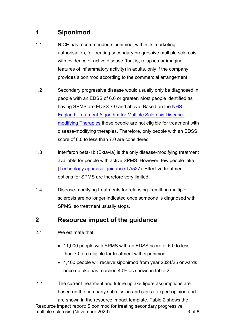## **1 Siponimod**

- 1.1 NICE has recommended siponimod, within its marketing authorisation, for treating secondary progressive multiple sclerosis with evidence of active disease (that is, relapses or imaging features of inflammatory activity) in adults, only if the company provides siponimod according to the commercial arrangement.
- 1.2 Secondary progressive disease would usually only be diagnosed in people with an EDSS of 6.0 or greater. Most people identified as having SPMS are EDSS 7.0 and above. Based on the NHS [England Treatment Algorithm for Multiple Sclerosis Disease](https://www.england.nhs.uk/commissioning/wp-content/uploads/sites/12/2019/03/Treatment-Algorithm-for-Multiple-Sclerosis-Disease-Modifying-Therapies-08-03-2019-1.pdf)[modifying Therapies](https://www.england.nhs.uk/commissioning/wp-content/uploads/sites/12/2019/03/Treatment-Algorithm-for-Multiple-Sclerosis-Disease-Modifying-Therapies-08-03-2019-1.pdf) these people are not eligible for treatment with disease-modifying therapies. Therefore, only people with an EDSS score of 6.0 to less than 7.0 are considered
- 1.3 Interferon beta-1b (Extavia) is the only disease-modifying treatment available for people with active SPMS. However, few people take it [\(Technology appraisal guidance TA527\).](https://www.nice.org.uk/guidance/ta527/chapter/1-Recommendations) Effective treatment options for SPMS are therefore very limited.
- 1.4 Disease-modifying treatments for relapsing–remitting multiple sclerosis are no longer indicated once someone is diagnosed with SPMS, so treatment usually stops.

## **2 Resource impact of the guidance**

- 2.1 We estimate that:
	- 11,000 people with SPMS with an EDSS score of 6.0 to less than 7.0 are eligible for treatment with siponimod.
	- 4,400 people will receive siponimod from year 2024/25 onwards once uptake has reached 40% as shown in table 2.
- 2.2 The current treatment and future uptake figure assumptions are based on the company submission and clinical expert opinion and

Resource impact report: Siponimod for treating secondary progressive multiple sclerosis (November 2020) 3 of 8 are shown in the resource impact template. Table 2 shows the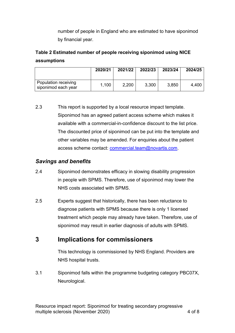number of people in England who are estimated to have siponimod by financial year.

### **Table 2 Estimated number of people receiving siponimod using NICE assumptions**

|                                             | 2020/21 | 2021/22 | 2022/23 | 2023/24 | 2024/25 |
|---------------------------------------------|---------|---------|---------|---------|---------|
| Population receiving<br>siponimod each year | 1,100   | 2,200   | 3,300   | 3,850   | 4,400   |

2.3 This report is supported by a local resource impact template. Siponimod has an agreed patient access scheme which makes it available with a commercial-in-confidence discount to the list price. The discounted price of siponimod can be put into the template and other variables may be amended. For enquiries about the patient access scheme contact: [commercial.team@novartis.com.](mailto:commercial.team@novartis.com)

#### *Savings and benefits*

- 2.4 Siponimod demonstrates efficacy in slowing disability progression in people with SPMS. Therefore, use of siponimod may lower the NHS costs associated with SPMS.
- 2.5 Experts suggest that historically, there has been reluctance to diagnose patients with SPMS because there is only 1 licensed treatment which people may already have taken. Therefore, use of siponimod may result in earlier diagnosis of adults with SPMS.

## **3 Implications for commissioners**

This technology is commissioned by NHS England. Providers are NHS hospital trusts.

3.1 Siponimod falls within the programme budgeting category PBC07X, Neurological.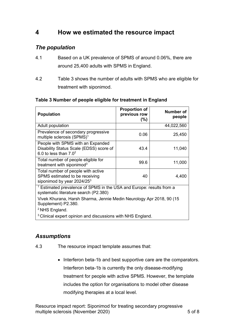## **4 How we estimated the resource impact**

#### *The population*

- 4.1 Based on a UK prevalence of SPMS of around 0.06%, there are around 25,400 adults with SPMS in England.
- 4.2 Table 3 shows the number of adults with SPMS who are eligible for treatment with siponimod.

| <b>Population</b>                                                                                                        | <b>Proportion of</b><br>previous row<br>$(\%)$ | <b>Number of</b><br>people |  |  |  |  |
|--------------------------------------------------------------------------------------------------------------------------|------------------------------------------------|----------------------------|--|--|--|--|
| Adult population                                                                                                         |                                                | 44,022,560                 |  |  |  |  |
| Prevalence of secondary progressive<br>multiple sclerosis (SPMS) <sup>1</sup>                                            | 0.06                                           | 25,450                     |  |  |  |  |
| People with SPMS with an Expanded<br>Disability Status Scale (EDSS) score of<br>6.0 to less than $7.02$                  | 43.4                                           | 11,040                     |  |  |  |  |
| Total number of people eligible for<br>treatment with siponimod <sup>3</sup>                                             | 99.6                                           | 11,000                     |  |  |  |  |
| Total number of people with active<br>SPMS estimated to be receiving<br>siponimod by year $2024/253$                     | 40                                             | 4,400                      |  |  |  |  |
| <sup>1</sup> Estimated prevalence of SPMS in the USA and Europe: results from a<br>systematic literature search (P2.380) |                                                |                            |  |  |  |  |
| Vivek Khurana, Harsh Sharma, Jennie Medin Neurology Apr 2018, 90 (15<br>Supplement) P2.380.                              |                                                |                            |  |  |  |  |
| <sup>2</sup> NHS England.                                                                                                |                                                |                            |  |  |  |  |
| <sup>3</sup> Clinical expert opinion and discussions with NHS England.                                                   |                                                |                            |  |  |  |  |

#### **Table 3 Number of people eligible for treatment in England**

#### *Assumptions*

- 4.3 The resource impact template assumes that:
	- Interferon beta-1b and best supportive care are the comparators. Interferon beta-1b is currently the only disease-modifying treatment for people with active SPMS. However, the template includes the option for organisations to model other disease modifying therapies at a local level.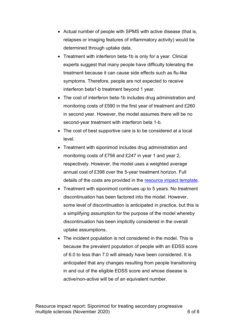- Actual number of people with SPMS with active disease (that is, relapses or imaging features of inflammatory activity) would be determined through uptake data.
- Treatment with interferon beta-1b is only for a year. Clinical experts suggest that many people have difficulty tolerating the treatment because it can cause side effects such as flu-like symptoms. Therefore, people are not expected to receive interferon beta1-b treatment beyond 1 year.
- The cost of interferon beta-1b includes drug administration and monitoring costs of £590 in the first year of treatment and £260 in second year. However, the model assumes there will be no second-year treatment with interferon beta 1-b.
- The cost of best supportive care is to be considered at a local level.
- Treatment with siponimod includes drug administration and monitoring costs of £756 and £247 in year 1 and year 2, respectively. However, the model uses a weighted average annual cost of £398 over the 5-year treatment horizon. Full details of the costs are provided in the [resource impact template.](https://www.nice.org.uk/guidance/ta656/resources)
- Treatment with siponimod continues up to 5 years. No treatment discontinuation has been factored into the model. However, some level of discontinuation is anticipated in practice, but this is a simplifying assumption for the purpose of the model whereby discontinuation has been implicitly considered in the overall uptake assumptions.
- The incident population is not considered in the model. This is because the prevalent population of people with an EDSS score of 6.0 to less than 7.0 will already have been considered. It is anticipated that any changes resulting from people transitioning in and out of the eligible EDSS score and whose disease is active/non-active will be of an equivalent number.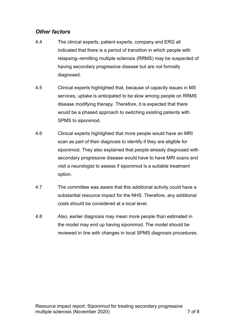#### *Other factors*

- 4.4 The clinical experts, patient experts, company and ERG all indicated that there is a period of transition in which people with relapsing–remitting multiple sclerosis (RRMS) may be suspected of having secondary progressive disease but are not formally diagnosed.
- 4.5 Clinical experts highlighted that, because of capacity issues in MS services, uptake is anticipated to be slow among people on RRMS disease modifying therapy. Therefore, it is expected that there would be a phased approach to switching existing patients with SPMS to siponimod.
- 4.6 Clinical experts highlighted that more people would have an MRI scan as part of their diagnosis to identify if they are eligible for siponimod. They also explained that people already diagnosed with secondary progressive disease would have to have MRI scans and visit a neurologist to assess if siponimod is a suitable treatment option.
- 4.7 The committee was aware that this additional activity could have a substantial resource impact for the NHS. Therefore, any additional costs should be considered at a local level.
- 4.8 Also, earlier diagnosis may mean more people than estimated in the model may end up having siponimod. The model should be reviewed in line with changes in local SPMS diagnosis procedures.